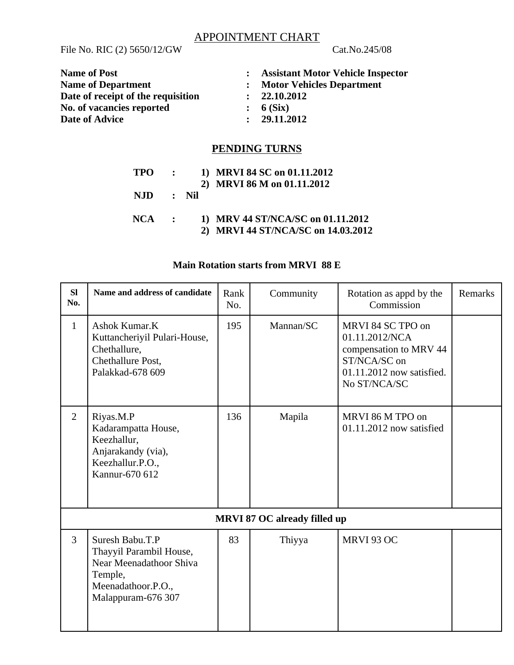# APPOINTMENT CHART

File No. RIC (2) 5650/12/GW Cat.No.245/08

| <b>Name of Post</b>                | <b>Assistant Motor Vehicle Inspector</b> |
|------------------------------------|------------------------------------------|
| <b>Name of Department</b>          | <b>Motor Vehicles Department</b>         |
| Date of receipt of the requisition | : 22.10.2012                             |
| No. of vacancies reported          | : 6(Six)                                 |
| Date of Advice                     | 29.11.2012                               |

# **PENDING TURNS**

| TPO :     |  | 1) MRVI 84 SC on 01.11.2012        |
|-----------|--|------------------------------------|
|           |  | 2) MRVI 86 M on 01.11.2012         |
| NJD : Nil |  |                                    |
| $NCA$ :   |  | 1) MRV 44 ST/NCA/SC on 01.11.2012  |
|           |  | 2) MRVI 44 ST/NCA/SC on 14.03.2012 |

### **Main Rotation starts from MRVI 88 E**

| SI<br>No.                           | Name and address of candidate                                                                                                | Rank<br>No. | Community | Rotation as appd by the<br>Commission                                                                                      | Remarks |
|-------------------------------------|------------------------------------------------------------------------------------------------------------------------------|-------------|-----------|----------------------------------------------------------------------------------------------------------------------------|---------|
| $\mathbf{1}$                        | Ashok Kumar.K<br>Kuttancheriyil Pulari-House,<br>Chethallure,<br>Chethallure Post,<br>Palakkad-678 609                       | 195         | Mannan/SC | MRVI 84 SC TPO on<br>01.11.2012/NCA<br>compensation to MRV 44<br>ST/NCA/SC on<br>01.11.2012 now satisfied.<br>No ST/NCA/SC |         |
| $\overline{2}$                      | Riyas.M.P<br>Kadarampatta House,<br>Keezhallur,<br>Anjarakandy (via),<br>Keezhallur.P.O.,<br>Kannur-670 612                  | 136         | Mapila    | MRVI 86 M TPO on<br>$01.11.2012$ now satisfied                                                                             |         |
| <b>MRVI 87 OC already filled up</b> |                                                                                                                              |             |           |                                                                                                                            |         |
| 3                                   | Suresh Babu.T.P<br>Thayyil Parambil House,<br>Near Meenadathoor Shiva<br>Temple,<br>Meenadathoor.P.O.,<br>Malappuram-676 307 | 83          | Thiyya    | MRVI 93 OC                                                                                                                 |         |